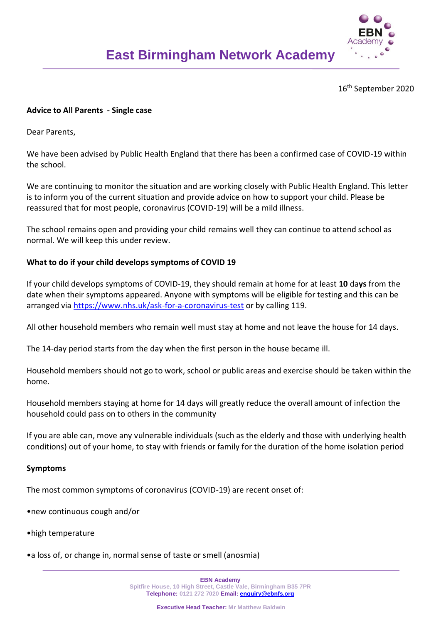

16th September 2020

# **Advice to All Parents - Single case**

Dear Parents,

We have been advised by Public Health England that there has been a confirmed case of COVID-19 within the school.

We are continuing to monitor the situation and are working closely with Public Health England. This letter is to inform you of the current situation and provide advice on how to support your child. Please be reassured that for most people, coronavirus (COVID-19) will be a mild illness.

The school remains open and providing your child remains well they can continue to attend school as normal. We will keep this under review.

# **What to do if your child develops symptoms of COVID 19**

If your child develops symptoms of COVID-19, they should remain at home for at least **10** da**ys** from the date when their symptoms appeared. Anyone with symptoms will be eligible for testing and this can be arranged via<https://www.nhs.uk/ask-for-a-coronavirus-test> or by calling 119.

All other household members who remain well must stay at home and not leave the house for 14 days.

The 14-day period starts from the day when the first person in the house became ill.

Household members should not go to work, school or public areas and exercise should be taken within the home.

Household members staying at home for 14 days will greatly reduce the overall amount of infection the household could pass on to others in the community

If you are able can, move any vulnerable individuals (such as the elderly and those with underlying health conditions) out of your home, to stay with friends or family for the duration of the home isolation period

### **Symptoms**

The most common symptoms of coronavirus (COVID-19) are recent onset of:

- •new continuous cough and/or
- •high temperature
- •a loss of, or change in, normal sense of taste or smell (anosmia)